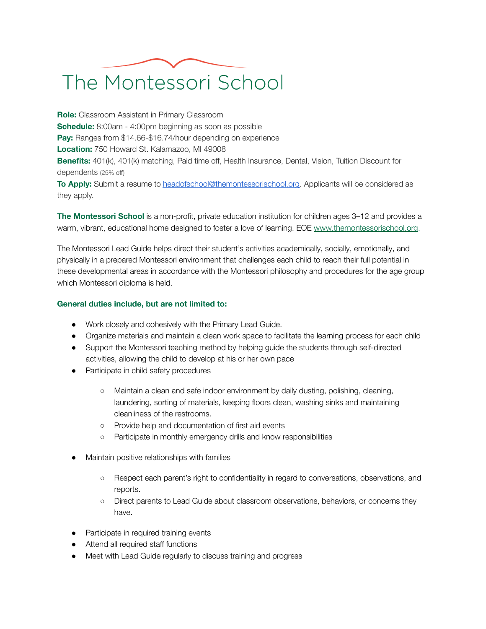## The Montessori School

**Role:** Classroom Assistant in Primary Classroom **Schedule:** 8:00am - 4:00pm beginning as soon as possible **Pay:** Ranges from \$14.66-\$16.74/hour depending on experience **Location:** 750 Howard St. Kalamazoo, MI 49008 **Benefits:** 401(k), 401(k) matching, Paid time off, Health Insurance, Dental, Vision, Tuition Discount for dependents (25% off) **To Apply:** Submit a resume to [headofschool@themontessorischool.org.](mailto:headofschool@themontessorischool.org) Applicants will be considered as

they apply.

**The Montessori School** is a non-profit, private education institution for children ages 3–12 and provides a warm, vibrant, educational home designed to foster a love of learning. EOE [www.themontessorischool.org.](http://www.themontessorischool.org/)

The Montessori Lead Guide helps direct their student's activities academically, socially, emotionally, and physically in a prepared Montessori environment that challenges each child to reach their full potential in these developmental areas in accordance with the Montessori philosophy and procedures for the age group which Montessori diploma is held.

## **General duties include, but are not limited to:**

- Work closely and cohesively with the Primary Lead Guide.
- Organize materials and maintain a clean work space to facilitate the learning process for each child
- Support the Montessori teaching method by helping guide the students through self-directed activities, allowing the child to develop at his or her own pace
- Participate in child safety procedures
	- Maintain a clean and safe indoor environment by daily dusting, polishing, cleaning, laundering, sorting of materials, keeping floors clean, washing sinks and maintaining cleanliness of the restrooms.
	- Provide help and documentation of first aid events
	- Participate in monthly emergency drills and know responsibilities
- Maintain positive relationships with families
	- Respect each parent's right to confidentiality in regard to conversations, observations, and reports.
	- Direct parents to Lead Guide about classroom observations, behaviors, or concerns they have.
- Participate in required training events
- Attend all required staff functions
- Meet with Lead Guide regularly to discuss training and progress